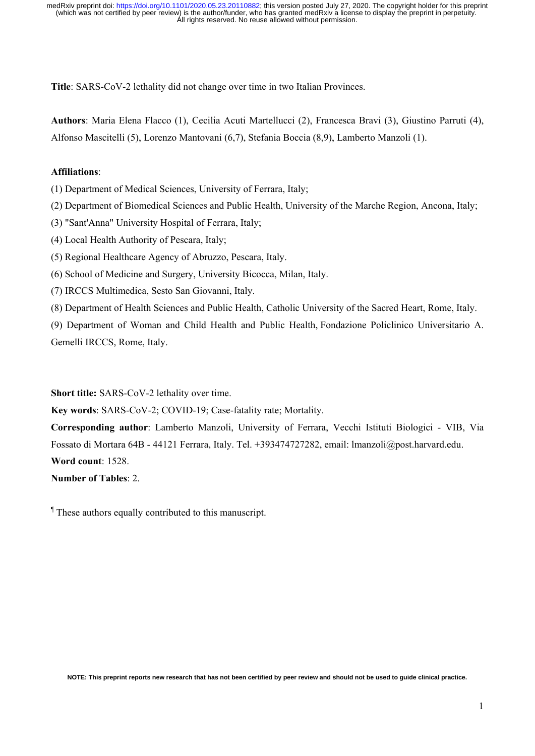**Title**: SARS-CoV-2 lethality did not change over time in two Italian Provinces.

**Authors**: Maria Elena Flacco (1), Cecilia Acuti Martellucci (2), Francesca Bravi (3), Giustino Parruti (4), Alfonso Mascitelli (5), Lorenzo Mantovani (6,7), Stefania Boccia (8,9), Lamberto Manzoli (1).

## **Affiliations**:

(1) Department of Medical Sciences, University of Ferrara, Italy;

(2) Department of Biomedical Sciences and Public Health, University of the Marche Region, Ancona, Italy;

(3) "Sant'Anna" University Hospital of Ferrara, Italy;

- (4) Local Health Authority of Pescara, Italy;
- (5) Regional Healthcare Agency of Abruzzo, Pescara, Italy.
- (6) School of Medicine and Surgery, University Bicocca, Milan, Italy.
- (7) IRCCS Multimedica, Sesto San Giovanni, Italy.
- (8) Department of Health Sciences and Public Health, Catholic University of the Sacred Heart, Rome, Italy.

(9) Department of Woman and Child Health and Public Health, Fondazione Policlinico Universitario A. Gemelli IRCCS, Rome, Italy.

**Short title:** SARS-CoV-2 lethality over time.

**Key words**: SARS-CoV-2; COVID-19; Case-fatality rate; Mortality.

**Corresponding author**: Lamberto Manzoli, University of Ferrara, Vecchi Istituti Biologici - VIB, Via Fossato di Mortara 64B - 44121 Ferrara, Italy. Tel. +393474727282, email: lmanzoli@post.harvard.edu. **Word count**: 1528.

**Number of Tables**: 2.

¶ These authors equally contributed to this manuscript.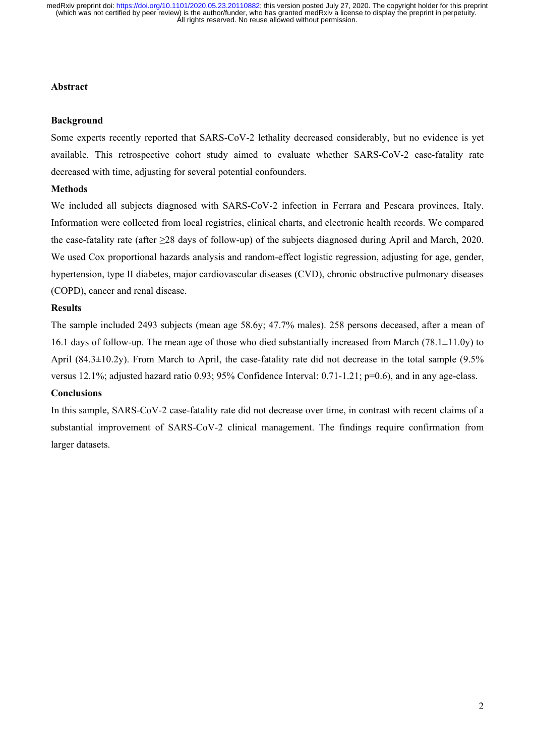## **Abstract**

## **Background**

Some experts recently reported that SARS-CoV-2 lethality decreased considerably, but no evidence is yet available. This retrospective cohort study aimed to evaluate whether SARS-CoV-2 case-fatality rate decreased with time, adjusting for several potential confounders.

## **Methods**

We included all subjects diagnosed with SARS-CoV-2 infection in Ferrara and Pescara provinces, Italy. Information were collected from local registries, clinical charts, and electronic health records. We compared the case-fatality rate (after ≥28 days of follow-up) of the subjects diagnosed during April and March, 2020. We used Cox proportional hazards analysis and random-effect logistic regression, adjusting for age, gender, hypertension, type II diabetes, major cardiovascular diseases (CVD), chronic obstructive pulmonary diseases (COPD), cancer and renal disease.

### **Results**

The sample included 2493 subjects (mean age 58.6y; 47.7% males). 258 persons deceased, after a mean of 16.1 days of follow-up. The mean age of those who died substantially increased from March (78.1 $\pm$ 11.0y) to April (84.3±10.2y). From March to April, the case-fatality rate did not decrease in the total sample (9.5% versus 12.1%; adjusted hazard ratio 0.93; 95% Confidence Interval: 0.71-1.21; p=0.6), and in any age-class.

## **Conclusions**

In this sample, SARS-CoV-2 case-fatality rate did not decrease over time, in contrast with recent claims of a substantial improvement of SARS-CoV-2 clinical management. The findings require confirmation from larger datasets.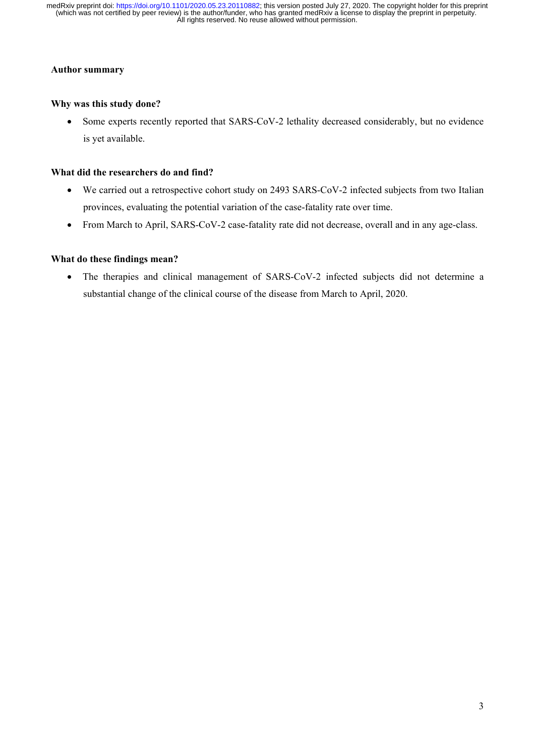## **Author summary**

# **Why was this study done?**

 Some experts recently reported that SARS-CoV-2 lethality decreased considerably, but no evidence is yet available.

## **What did the researchers do and find?**

- We carried out a retrospective cohort study on 2493 SARS-CoV-2 infected subjects from two Italian provinces, evaluating the potential variation of the case-fatality rate over time.
- From March to April, SARS-CoV-2 case-fatality rate did not decrease, overall and in any age-class.

# **What do these findings mean?**

 The therapies and clinical management of SARS-CoV-2 infected subjects did not determine a substantial change of the clinical course of the disease from March to April, 2020.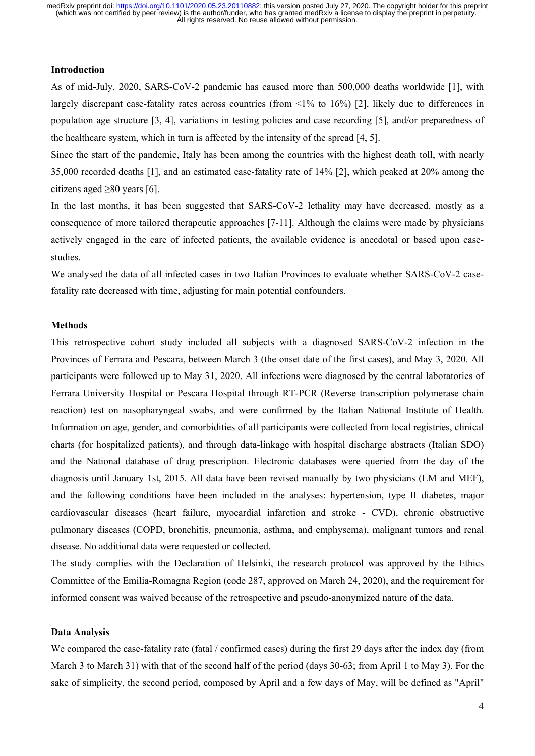# **Introduction**

As of mid-July, 2020, SARS-CoV-2 pandemic has caused more than 500,000 deaths worldwide [1], with largely discrepant case-fatality rates across countries (from <1% to 16%) [2], likely due to differences in population age structure [3, 4], variations in testing policies and case recording [5], and/or preparedness of the healthcare system, which in turn is affected by the intensity of the spread [4, 5].

Since the start of the pandemic, Italy has been among the countries with the highest death toll, with nearly 35,000 recorded deaths [1], and an estimated case-fatality rate of 14% [2], which peaked at 20% among the citizens aged  $\geq 80$  years [6].

In the last months, it has been suggested that SARS-CoV-2 lethality may have decreased, mostly as a consequence of more tailored therapeutic approaches [7-11]. Although the claims were made by physicians actively engaged in the care of infected patients, the available evidence is anecdotal or based upon casestudies.

We analysed the data of all infected cases in two Italian Provinces to evaluate whether SARS-CoV-2 casefatality rate decreased with time, adjusting for main potential confounders.

### **Methods**

This retrospective cohort study included all subjects with a diagnosed SARS-CoV-2 infection in the Provinces of Ferrara and Pescara, between March 3 (the onset date of the first cases), and May 3, 2020. All participants were followed up to May 31, 2020. All infections were diagnosed by the central laboratories of Ferrara University Hospital or Pescara Hospital through RT-PCR (Reverse transcription polymerase chain reaction) test on nasopharyngeal swabs, and were confirmed by the Italian National Institute of Health. Information on age, gender, and comorbidities of all participants were collected from local registries, clinical charts (for hospitalized patients), and through data-linkage with hospital discharge abstracts (Italian SDO) and the National database of drug prescription. Electronic databases were queried from the day of the diagnosis until January 1st, 2015. All data have been revised manually by two physicians (LM and MEF), and the following conditions have been included in the analyses: hypertension, type II diabetes, major cardiovascular diseases (heart failure, myocardial infarction and stroke - CVD), chronic obstructive pulmonary diseases (COPD, bronchitis, pneumonia, asthma, and emphysema), malignant tumors and renal disease. No additional data were requested or collected.

The study complies with the Declaration of Helsinki, the research protocol was approved by the Ethics Committee of the Emilia-Romagna Region (code 287, approved on March 24, 2020), and the requirement for informed consent was waived because of the retrospective and pseudo-anonymized nature of the data.

#### **Data Analysis**

We compared the case-fatality rate (fatal / confirmed cases) during the first 29 days after the index day (from March 3 to March 31) with that of the second half of the period (days 30-63; from April 1 to May 3). For the sake of simplicity, the second period, composed by April and a few days of May, will be defined as "April"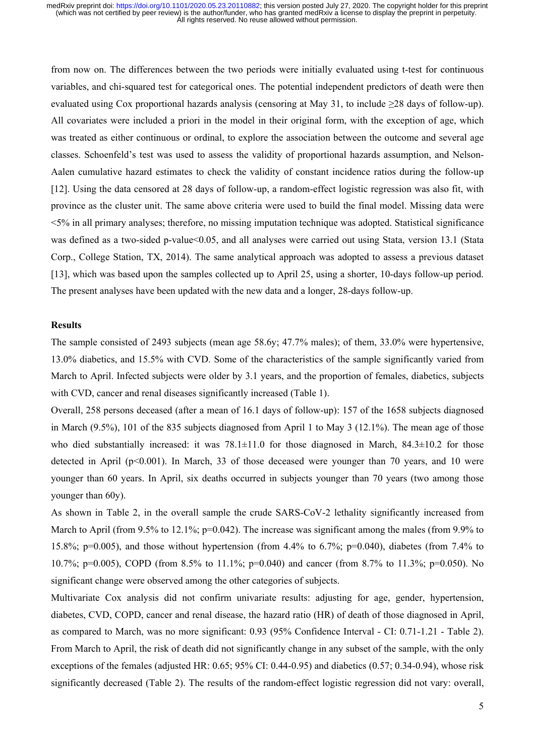from now on. The differences between the two periods were initially evaluated using t-test for continuous variables, and chi-squared test for categorical ones. The potential independent predictors of death were then evaluated using Cox proportional hazards analysis (censoring at May 31, to include ≥28 days of follow-up). All covariates were included a priori in the model in their original form, with the exception of age, which was treated as either continuous or ordinal, to explore the association between the outcome and several age classes. Schoenfeld's test was used to assess the validity of proportional hazards assumption, and Nelson-Aalen cumulative hazard estimates to check the validity of constant incidence ratios during the follow-up [12]. Using the data censored at 28 days of follow-up, a random-effect logistic regression was also fit, with province as the cluster unit. The same above criteria were used to build the final model. Missing data were <5% in all primary analyses; therefore, no missing imputation technique was adopted. Statistical significance was defined as a two-sided p-value<0.05, and all analyses were carried out using Stata, version 13.1 (Stata Corp., College Station, TX, 2014). The same analytical approach was adopted to assess a previous dataset [13], which was based upon the samples collected up to April 25, using a shorter, 10-days follow-up period. The present analyses have been updated with the new data and a longer, 28-days follow-up.

### **Results**

The sample consisted of 2493 subjects (mean age 58.6y; 47.7% males); of them, 33.0% were hypertensive, 13.0% diabetics, and 15.5% with CVD. Some of the characteristics of the sample significantly varied from March to April. Infected subjects were older by 3.1 years, and the proportion of females, diabetics, subjects with CVD, cancer and renal diseases significantly increased (Table 1).

Overall, 258 persons deceased (after a mean of 16.1 days of follow-up): 157 of the 1658 subjects diagnosed in March (9.5%), 101 of the 835 subjects diagnosed from April 1 to May 3 (12.1%). The mean age of those who died substantially increased: it was 78.1±11.0 for those diagnosed in March, 84.3±10.2 for those detected in April ( $p<0.001$ ). In March, 33 of those deceased were younger than 70 years, and 10 were younger than 60 years. In April, six deaths occurred in subjects younger than 70 years (two among those younger than 60y).

As shown in Table 2, in the overall sample the crude SARS-CoV-2 lethality significantly increased from March to April (from 9.5% to 12.1%;  $p=0.042$ ). The increase was significant among the males (from 9.9% to 15.8%; p=0.005), and those without hypertension (from 4.4% to 6.7%; p=0.040), diabetes (from 7.4% to 10.7%; p=0.005), COPD (from 8.5% to 11.1%; p=0.040) and cancer (from 8.7% to 11.3%; p=0.050). No significant change were observed among the other categories of subjects.

Multivariate Cox analysis did not confirm univariate results: adjusting for age, gender, hypertension, diabetes, CVD, COPD, cancer and renal disease, the hazard ratio (HR) of death of those diagnosed in April, as compared to March, was no more significant: 0.93 (95% Confidence Interval - CI: 0.71-1.21 - Table 2). From March to April, the risk of death did not significantly change in any subset of the sample, with the only exceptions of the females (adjusted HR: 0.65; 95% CI: 0.44-0.95) and diabetics (0.57; 0.34-0.94), whose risk significantly decreased (Table 2). The results of the random-effect logistic regression did not vary: overall,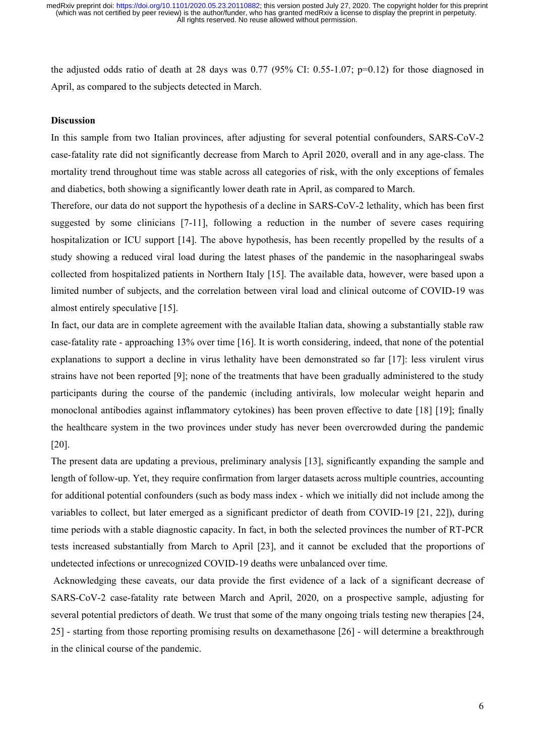the adjusted odds ratio of death at 28 days was 0.77 (95% CI: 0.55-1.07; p=0.12) for those diagnosed in April, as compared to the subjects detected in March.

### **Discussion**

In this sample from two Italian provinces, after adjusting for several potential confounders, SARS-CoV-2 case-fatality rate did not significantly decrease from March to April 2020, overall and in any age-class. The mortality trend throughout time was stable across all categories of risk, with the only exceptions of females and diabetics, both showing a significantly lower death rate in April, as compared to March.

Therefore, our data do not support the hypothesis of a decline in SARS-CoV-2 lethality, which has been first suggested by some clinicians [7-11], following a reduction in the number of severe cases requiring hospitalization or ICU support [14]. The above hypothesis, has been recently propelled by the results of a study showing a reduced viral load during the latest phases of the pandemic in the nasopharingeal swabs collected from hospitalized patients in Northern Italy [15]. The available data, however, were based upon a limited number of subjects, and the correlation between viral load and clinical outcome of COVID-19 was almost entirely speculative [15].

In fact, our data are in complete agreement with the available Italian data, showing a substantially stable raw case-fatality rate - approaching 13% over time [16]. It is worth considering, indeed, that none of the potential explanations to support a decline in virus lethality have been demonstrated so far [17]: less virulent virus strains have not been reported [9]; none of the treatments that have been gradually administered to the study participants during the course of the pandemic (including antivirals, low molecular weight heparin and monoclonal antibodies against inflammatory cytokines) has been proven effective to date [18] [19]; finally the healthcare system in the two provinces under study has never been overcrowded during the pandemic [20].

The present data are updating a previous, preliminary analysis [13], significantly expanding the sample and length of follow-up. Yet, they require confirmation from larger datasets across multiple countries, accounting for additional potential confounders (such as body mass index - which we initially did not include among the variables to collect, but later emerged as a significant predictor of death from COVID-19 [21, 22]), during time periods with a stable diagnostic capacity. In fact, in both the selected provinces the number of RT-PCR tests increased substantially from March to April [23], and it cannot be excluded that the proportions of undetected infections or unrecognized COVID-19 deaths were unbalanced over time.

 Acknowledging these caveats, our data provide the first evidence of a lack of a significant decrease of SARS-CoV-2 case-fatality rate between March and April, 2020, on a prospective sample, adjusting for several potential predictors of death. We trust that some of the many ongoing trials testing new therapies [24, 25] - starting from those reporting promising results on dexamethasone [26] - will determine a breakthrough in the clinical course of the pandemic.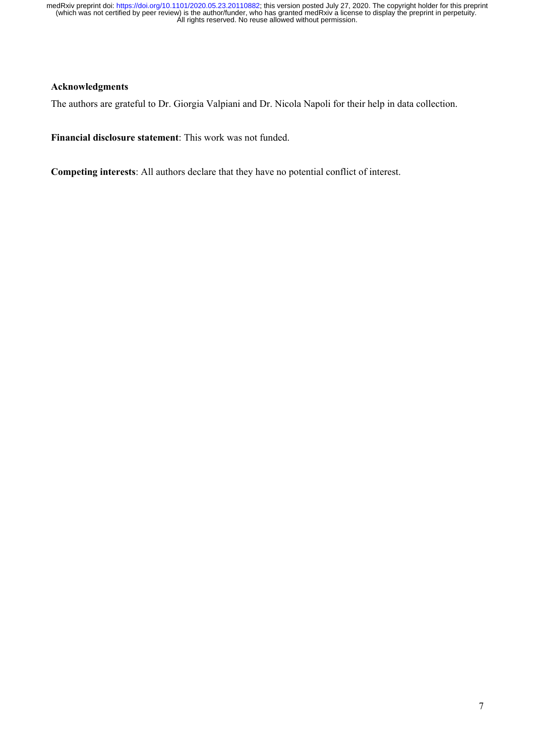# **Acknowledgments**

The authors are grateful to Dr. Giorgia Valpiani and Dr. Nicola Napoli for their help in data collection.

**Financial disclosure statement**: This work was not funded.

**Competing interests**: All authors declare that they have no potential conflict of interest.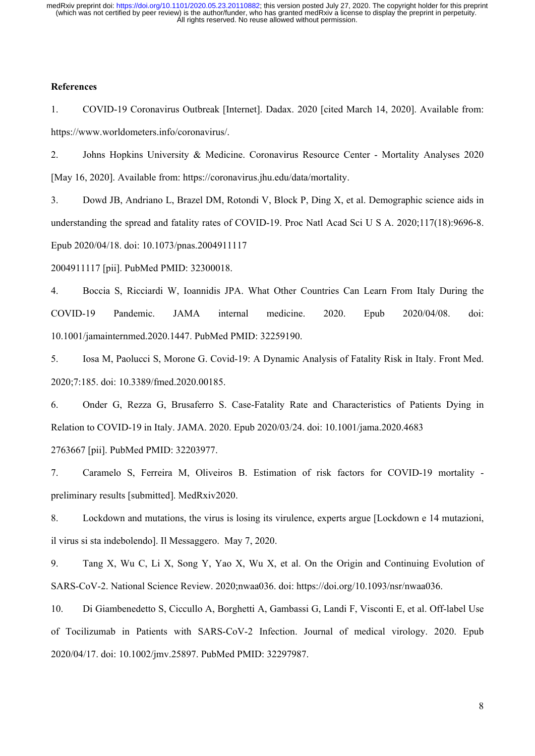### **References**

1. COVID-19 Coronavirus Outbreak [Internet]. Dadax. 2020 [cited March 14, 2020]. Available from: https://www.worldometers.info/coronavirus/.

2. Johns Hopkins University & Medicine. Coronavirus Resource Center - Mortality Analyses 2020 [May 16, 2020]. Available from: https://coronavirus.jhu.edu/data/mortality.

3. Dowd JB, Andriano L, Brazel DM, Rotondi V, Block P, Ding X, et al. Demographic science aids in understanding the spread and fatality rates of COVID-19. Proc Natl Acad Sci U S A. 2020;117(18):9696-8. Epub 2020/04/18. doi: 10.1073/pnas.2004911117

2004911117 [pii]. PubMed PMID: 32300018.

4. Boccia S, Ricciardi W, Ioannidis JPA. What Other Countries Can Learn From Italy During the COVID-19 Pandemic. JAMA internal medicine. 2020. Epub 2020/04/08. doi: 10.1001/jamainternmed.2020.1447. PubMed PMID: 32259190.

5. Iosa M, Paolucci S, Morone G. Covid-19: A Dynamic Analysis of Fatality Risk in Italy. Front Med. 2020;7:185. doi: 10.3389/fmed.2020.00185.

6. Onder G, Rezza G, Brusaferro S. Case-Fatality Rate and Characteristics of Patients Dying in Relation to COVID-19 in Italy. JAMA. 2020. Epub 2020/03/24. doi: 10.1001/jama.2020.4683 2763667 [pii]. PubMed PMID: 32203977.

7. Caramelo S, Ferreira M, Oliveiros B. Estimation of risk factors for COVID-19 mortality preliminary results [submitted]. MedRxiv2020.

8. Lockdown and mutations, the virus is losing its virulence, experts argue [Lockdown e 14 mutazioni, il virus si sta indebolendo]. Il Messaggero. May 7, 2020.

9. Tang X, Wu C, Li X, Song Y, Yao X, Wu X, et al. On the Origin and Continuing Evolution of SARS-CoV-2. National Science Review. 2020;nwaa036. doi: https://doi.org/10.1093/nsr/nwaa036.

10. Di Giambenedetto S, Ciccullo A, Borghetti A, Gambassi G, Landi F, Visconti E, et al. Off-label Use of Tocilizumab in Patients with SARS-CoV-2 Infection. Journal of medical virology. 2020. Epub 2020/04/17. doi: 10.1002/jmv.25897. PubMed PMID: 32297987.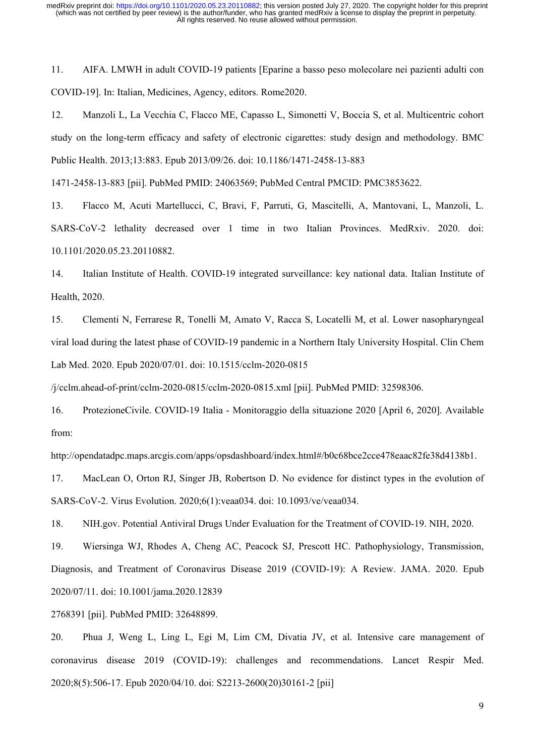11. AIFA. LMWH in adult COVID-19 patients [Eparine a basso peso molecolare nei pazienti adulti con COVID-19]. In: Italian, Medicines, Agency, editors. Rome2020.

12. Manzoli L, La Vecchia C, Flacco ME, Capasso L, Simonetti V, Boccia S, et al. Multicentric cohort study on the long-term efficacy and safety of electronic cigarettes: study design and methodology. BMC Public Health. 2013;13:883. Epub 2013/09/26. doi: 10.1186/1471-2458-13-883

1471-2458-13-883 [pii]. PubMed PMID: 24063569; PubMed Central PMCID: PMC3853622.

13. Flacco M, Acuti Martellucci, C, Bravi, F, Parruti, G, Mascitelli, A, Mantovani, L, Manzoli, L. SARS-CoV-2 lethality decreased over 1 time in two Italian Provinces. MedRxiv. 2020. doi: 10.1101/2020.05.23.20110882.

14. Italian Institute of Health. COVID-19 integrated surveillance: key national data. Italian Institute of Health, 2020.

15. Clementi N, Ferrarese R, Tonelli M, Amato V, Racca S, Locatelli M, et al. Lower nasopharyngeal viral load during the latest phase of COVID-19 pandemic in a Northern Italy University Hospital. Clin Chem Lab Med. 2020. Epub 2020/07/01. doi: 10.1515/cclm-2020-0815

/j/cclm.ahead-of-print/cclm-2020-0815/cclm-2020-0815.xml [pii]. PubMed PMID: 32598306.

16. ProtezioneCivile. COVID-19 Italia - Monitoraggio della situazione 2020 [April 6, 2020]. Available from:

http://opendatadpc.maps.arcgis.com/apps/opsdashboard/index.html#/b0c68bce2cce478eaac82fe38d4138b1.

17. MacLean O, Orton RJ, Singer JB, Robertson D. No evidence for distinct types in the evolution of SARS-CoV-2. Virus Evolution. 2020;6(1):veaa034. doi: 10.1093/ve/veaa034.

18. NIH.gov. Potential Antiviral Drugs Under Evaluation for the Treatment of COVID-19. NIH, 2020.

19. Wiersinga WJ, Rhodes A, Cheng AC, Peacock SJ, Prescott HC. Pathophysiology, Transmission, Diagnosis, and Treatment of Coronavirus Disease 2019 (COVID-19): A Review. JAMA. 2020. Epub 2020/07/11. doi: 10.1001/jama.2020.12839

2768391 [pii]. PubMed PMID: 32648899.

20. Phua J, Weng L, Ling L, Egi M, Lim CM, Divatia JV, et al. Intensive care management of coronavirus disease 2019 (COVID-19): challenges and recommendations. Lancet Respir Med. 2020;8(5):506-17. Epub 2020/04/10. doi: S2213-2600(20)30161-2 [pii]

9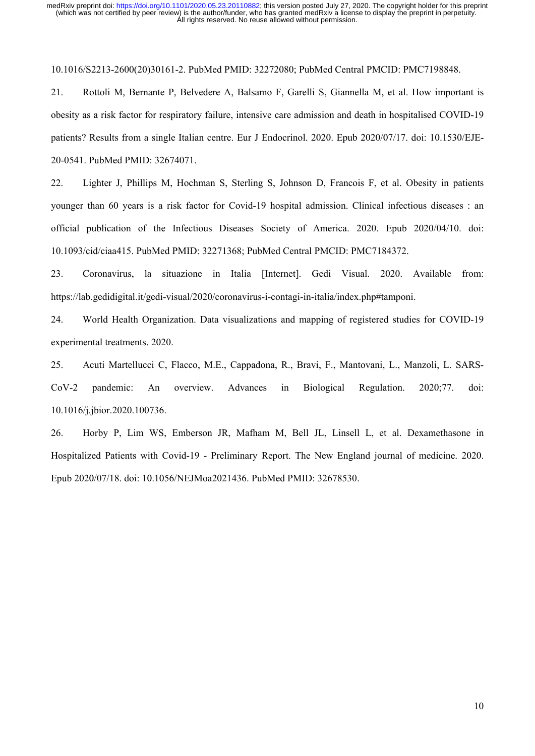10.1016/S2213-2600(20)30161-2. PubMed PMID: 32272080; PubMed Central PMCID: PMC7198848.

21. Rottoli M, Bernante P, Belvedere A, Balsamo F, Garelli S, Giannella M, et al. How important is obesity as a risk factor for respiratory failure, intensive care admission and death in hospitalised COVID-19 patients? Results from a single Italian centre. Eur J Endocrinol. 2020. Epub 2020/07/17. doi: 10.1530/EJE-20-0541. PubMed PMID: 32674071.

22. Lighter J, Phillips M, Hochman S, Sterling S, Johnson D, Francois F, et al. Obesity in patients younger than 60 years is a risk factor for Covid-19 hospital admission. Clinical infectious diseases : an official publication of the Infectious Diseases Society of America. 2020. Epub 2020/04/10. doi: 10.1093/cid/ciaa415. PubMed PMID: 32271368; PubMed Central PMCID: PMC7184372.

23. Coronavirus, la situazione in Italia [Internet]. Gedi Visual. 2020. Available from: https://lab.gedidigital.it/gedi-visual/2020/coronavirus-i-contagi-in-italia/index.php#tamponi.

24. World Health Organization. Data visualizations and mapping of registered studies for COVID-19 experimental treatments. 2020.

25. Acuti Martellucci C, Flacco, M.E., Cappadona, R., Bravi, F., Mantovani, L., Manzoli, L. SARS-CoV-2 pandemic: An overview. Advances in Biological Regulation. 2020;77. doi: 10.1016/j.jbior.2020.100736.

26. Horby P, Lim WS, Emberson JR, Mafham M, Bell JL, Linsell L, et al. Dexamethasone in Hospitalized Patients with Covid-19 - Preliminary Report. The New England journal of medicine. 2020. Epub 2020/07/18. doi: 10.1056/NEJMoa2021436. PubMed PMID: 32678530.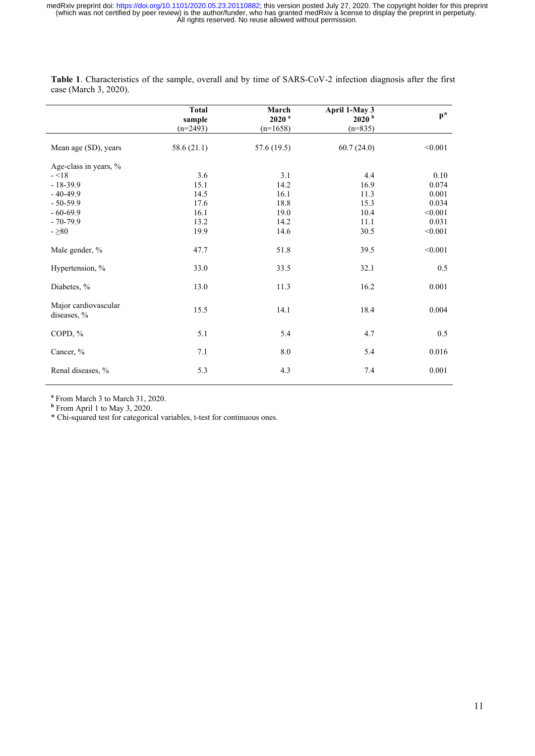|                                     | <b>Total</b><br>sample<br>$(n=2493)$ | March<br>$2020$ <sup>a</sup><br>$(n=1658)$ | April 1-May 3<br>2020 <sup>b</sup><br>$(n=835)$ | $p^*$    |
|-------------------------------------|--------------------------------------|--------------------------------------------|-------------------------------------------------|----------|
| Mean age (SD), years                | 58.6(21.1)                           | 57.6 (19.5)                                | 60.7(24.0)                                      | < 0.001  |
| Age-class in years, %               |                                      |                                            |                                                 |          |
| $ <$ 18                             | 3.6                                  | 3.1                                        | 4.4                                             | $0.10\,$ |
| $-18-39.9$                          | 15.1                                 | 14.2                                       | 16.9                                            | 0.074    |
| $-40-49.9$                          | 14.5                                 | 16.1                                       | 11.3                                            | 0.001    |
| $-50-59.9$                          | 17.6                                 | 18.8                                       | 15.3                                            | 0.034    |
| $-60 - 69.9$                        | 16.1                                 | 19.0                                       | 10.4                                            | < 0.001  |
| $-70-79.9$                          | 13.2                                 | 14.2                                       | 11.1                                            | 0.031    |
| $-280$                              | 19.9                                 | 14.6                                       | 30.5                                            | < 0.001  |
| Male gender, %                      | 47.7                                 | 51.8                                       | 39.5                                            | < 0.001  |
| Hypertension, %                     | 33.0                                 | 33.5                                       | 32.1                                            | 0.5      |
| Diabetes, %                         | 13.0                                 | 11.3                                       | 16.2                                            | 0.001    |
| Major cardiovascular<br>diseases, % | 15.5                                 | 14.1                                       | 18.4                                            | 0.004    |
| COPD, %                             | 5.1                                  | 5.4                                        | 4.7                                             | 0.5      |
| Cancer, %                           | 7.1                                  | $\ \ 8.0$                                  | 5.4                                             | 0.016    |
| Renal diseases, %                   | 5.3                                  | 4.3                                        | 7.4                                             | 0.001    |

**Table 1**. Characteristics of the sample, overall and by time of SARS-CoV-2 infection diagnosis after the first case (March 3, 2020).

**a** From March 3 to March 31, 2020. **b** From April 1 to May 3, 2020.

\* Chi-squared test for categorical variables, t-test for continuous ones.